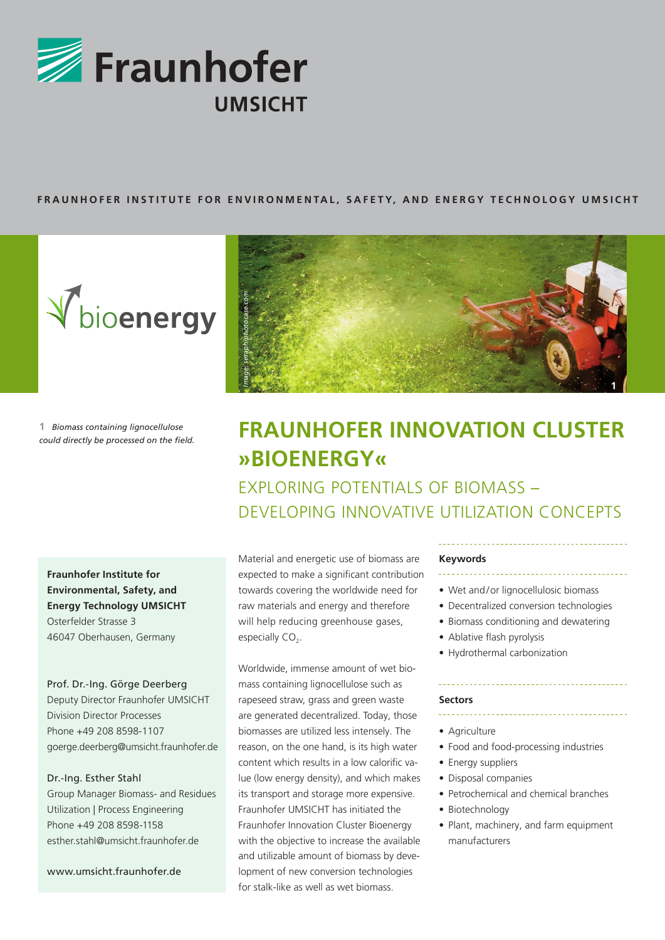

# FRAUNHOFER INSTITUTE FOR ENVIRONMENTAL, SAFETY, AND ENERGY TECHNOLOGY UMSICHT



**1** *Biomass containing lignocellulose could directly be processed on the field.*

**Fraunhofer Institute for Environmental, Safety, and Energy Technology UMSICHT** Osterfelder Strasse 3 46047 Oberhausen, Germany

## Prof. Dr.-Ing. Görge Deerberg

Deputy Director Fraunhofer UMSICHT Division Director Processes Phone +49 208 8598-1107 goerge.deerberg@umsicht.fraunhofer.de

# Dr.-Ing. Esther Stahl

Group Manager Biomass- and Residues Utilization | Process Engineering Phone +49 208 8598-1158 esther.stahl@umsicht.fraunhofer.de

www.umsicht.fraunhofer.de



# **Fraunhofer Innovation Cluster »bioenergy«**

Exploring potentials of biomass – Developing innovative utilization concepts

Material and energetic use of biomass are expected to make a significant contribution towards covering the worldwide need for raw materials and energy and therefore will help reducing greenhouse gases, especially  $CO<sub>2</sub>$ .

Worldwide, immense amount of wet biomass containing lignocellulose such as rapeseed straw, grass and green waste are generated decentralized. Today, those biomasses are utilized less intensely. The reason, on the one hand, is its high water content which results in a low calorific value (low energy density), and which makes its transport and storage more expensive. Fraunhofer UMSICHT has initiated the Fraunhofer Innovation Cluster Bioenergy with the objective to increase the available and utilizable amount of biomass by development of new conversion technologies for stalk-like as well as wet biomass.

# **Keywords**

- 
- Wet and/or lignocellulosic biomass
- Decentralized conversion technologies
- Biomass conditioning and dewatering
- Ablative flash pyrolysis
- Hydrothermal carbonization

#### **Sectors**

- Agriculture
- Food and food-processing industries
- Energy suppliers
- Disposal companies
- Petrochemical and chemical branches
- Biotechnology
- Plant, machinery, and farm equipment manufacturers